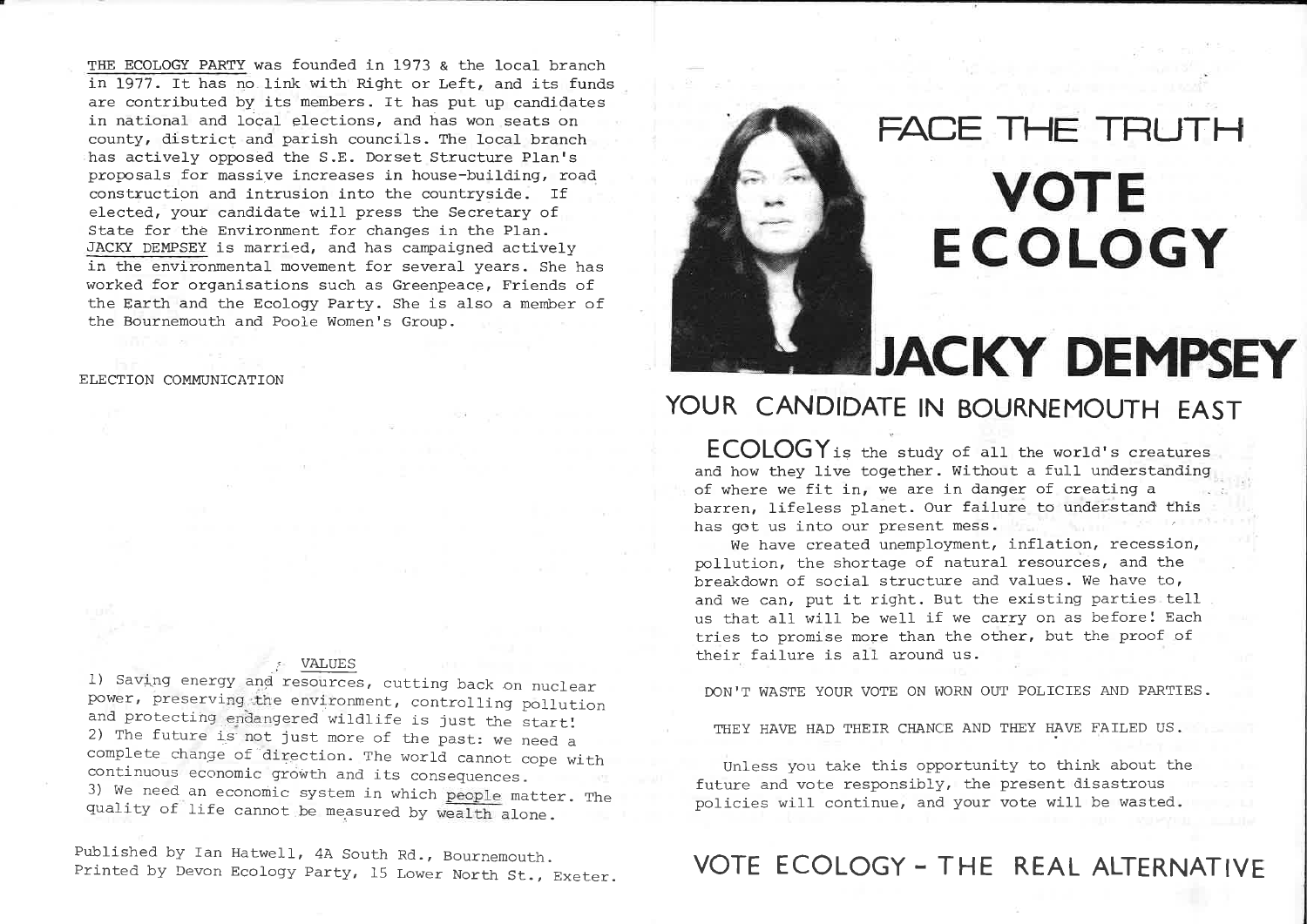THE ECOLOGY PARTY was founded in <sup>1973</sup> & the local branch in 1977. It has no.link with Right or Left, and its funds are contributed by its members. It has put up candidates in national and local elections, and has won seats on county, district and parish councils. The local branch has actively opposed the S.E. Dorset Structure Plan's proposals for massive increases in house-building, roadconstruction and intrusion into the countryside. If elected, your candidate will press the Secretary of State for the Environment for changes in the Plan. EACKY DEMPSEY is married, and has campaigned actively in the environmental movement for several years. She has worked for organisations such as Greenpeace, Friends of the Earth and the Ecology Party. She is also <sup>a</sup> member of the Bournemouth and Poole Women's Group.

### ELECTION COMMUNICATION

#### VALUES

f

 l) Saving energy and resources, cutting back on nuclear power, preserving \_the environment, controlling pollutionand protecting endangered wildlife is just the start! 2) The future is not just more of the past: we need a complete change of direction. The world cannot cope withcontinuous economic growth and its consequences 3) We need an economic system in which people matter. The quality of life cannot be measured by wealth alone.

Published by Ian Hatwell, 4A South Rd., BournemouthPublished by Ian Hatwell, 4A South Rd., Bournemout<br>Printed by Devon Ecology Party, 15 Lower North St.



### FACE THE TRUTH

## **VOTE** ECOLOGY

# **JACKY DEMPSEY**

### YOUR CANDIDATE IN BOURNEMOUTH EAST

 $\mathsf{E}\textsf{C}\textsf{O}\textsf{L}\textsf{O}\textsf{G}$  is the study of all the world's creatures and how they live together. Without <sup>a</sup> full understanding of where we fit in, we are in danger of creating a  $\qquad \qquad \ldots$ barren, lifeless planet. Our failure to understand this has got us into our present mess.

We have created unemployment, inflation, recession, pollution, the shortage of natural resources, and the breakdown of social structure and values. We have to, and we can, put it right. But the existing parties tell us that all will be well if we carry on as before! Each tries to promise more than the other, but the proof of their failure is all around us.

DON'T WASTE YOUR VOTE ON WORN OUT POLICIES AND PARTIES.

THEY HAVE HAD THEIR CHANCE AND THEY HAVE FAILED US.

Unless you take this opportunity to think about the future and vote responsibly, the present disastrous policies will continue, and your vote will be wasted.

### REMOUTH. VOTE ECOLOGY - THE REAL ALTERNATIVE